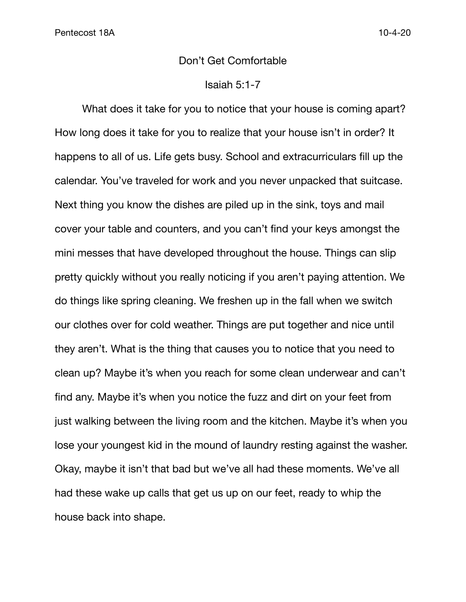## Don't Get Comfortable

## Isaiah 5:1-7

What does it take for you to notice that your house is coming apart? How long does it take for you to realize that your house isn't in order? It happens to all of us. Life gets busy. School and extracurriculars fill up the calendar. You've traveled for work and you never unpacked that suitcase. Next thing you know the dishes are piled up in the sink, toys and mail cover your table and counters, and you can't find your keys amongst the mini messes that have developed throughout the house. Things can slip pretty quickly without you really noticing if you aren't paying attention. We do things like spring cleaning. We freshen up in the fall when we switch our clothes over for cold weather. Things are put together and nice until they aren't. What is the thing that causes you to notice that you need to clean up? Maybe it's when you reach for some clean underwear and can't find any. Maybe it's when you notice the fuzz and dirt on your feet from just walking between the living room and the kitchen. Maybe it's when you lose your youngest kid in the mound of laundry resting against the washer. Okay, maybe it isn't that bad but we've all had these moments. We've all had these wake up calls that get us up on our feet, ready to whip the house back into shape.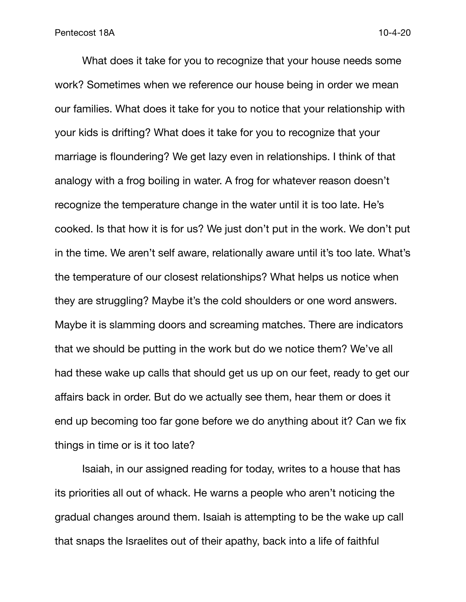What does it take for you to recognize that your house needs some work? Sometimes when we reference our house being in order we mean our families. What does it take for you to notice that your relationship with your kids is drifting? What does it take for you to recognize that your marriage is floundering? We get lazy even in relationships. I think of that analogy with a frog boiling in water. A frog for whatever reason doesn't recognize the temperature change in the water until it is too late. He's cooked. Is that how it is for us? We just don't put in the work. We don't put in the time. We aren't self aware, relationally aware until it's too late. What's the temperature of our closest relationships? What helps us notice when they are struggling? Maybe it's the cold shoulders or one word answers. Maybe it is slamming doors and screaming matches. There are indicators that we should be putting in the work but do we notice them? We've all had these wake up calls that should get us up on our feet, ready to get our affairs back in order. But do we actually see them, hear them or does it end up becoming too far gone before we do anything about it? Can we fix things in time or is it too late?

Isaiah, in our assigned reading for today, writes to a house that has its priorities all out of whack. He warns a people who aren't noticing the gradual changes around them. Isaiah is attempting to be the wake up call that snaps the Israelites out of their apathy, back into a life of faithful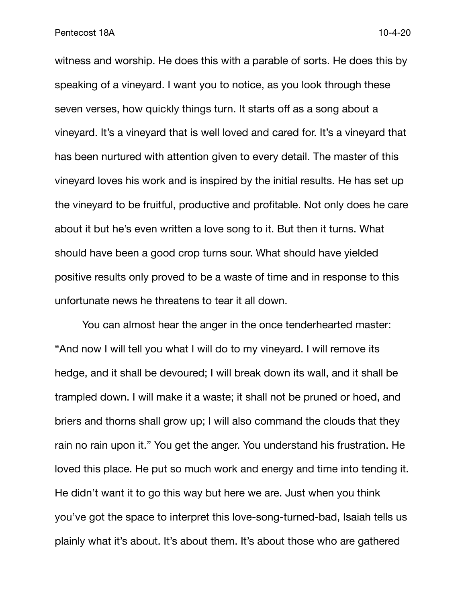witness and worship. He does this with a parable of sorts. He does this by speaking of a vineyard. I want you to notice, as you look through these seven verses, how quickly things turn. It starts off as a song about a vineyard. It's a vineyard that is well loved and cared for. It's a vineyard that has been nurtured with attention given to every detail. The master of this vineyard loves his work and is inspired by the initial results. He has set up the vineyard to be fruitful, productive and profitable. Not only does he care about it but he's even written a love song to it. But then it turns. What should have been a good crop turns sour. What should have yielded positive results only proved to be a waste of time and in response to this unfortunate news he threatens to tear it all down.

You can almost hear the anger in the once tenderhearted master: "And now I will tell you what I will do to my vineyard. I will remove its hedge, and it shall be devoured; I will break down its wall, and it shall be trampled down. I will make it a waste; it shall not be pruned or hoed, and briers and thorns shall grow up; I will also command the clouds that they rain no rain upon it." You get the anger. You understand his frustration. He loved this place. He put so much work and energy and time into tending it. He didn't want it to go this way but here we are. Just when you think you've got the space to interpret this love-song-turned-bad, Isaiah tells us plainly what it's about. It's about them. It's about those who are gathered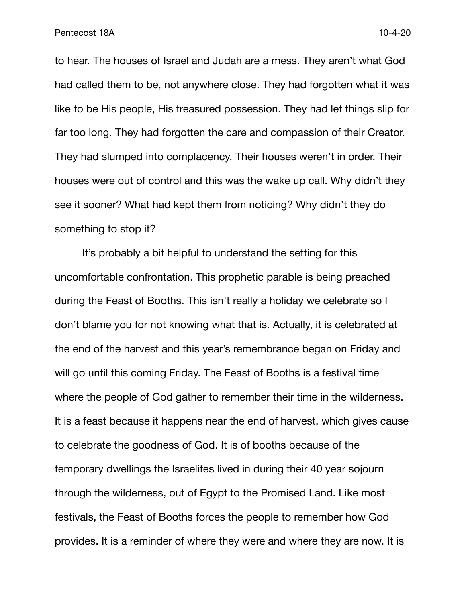to hear. The houses of Israel and Judah are a mess. They aren't what God had called them to be, not anywhere close. They had forgotten what it was like to be His people, His treasured possession. They had let things slip for far too long. They had forgotten the care and compassion of their Creator. They had slumped into complacency. Their houses weren't in order. Their houses were out of control and this was the wake up call. Why didn't they see it sooner? What had kept them from noticing? Why didn't they do something to stop it?

It's probably a bit helpful to understand the setting for this uncomfortable confrontation. This prophetic parable is being preached during the Feast of Booths. This isn't really a holiday we celebrate so I don't blame you for not knowing what that is. Actually, it is celebrated at the end of the harvest and this year's remembrance began on Friday and will go until this coming Friday. The Feast of Booths is a festival time where the people of God gather to remember their time in the wilderness. It is a feast because it happens near the end of harvest, which gives cause to celebrate the goodness of God. It is of booths because of the temporary dwellings the Israelites lived in during their 40 year sojourn through the wilderness, out of Egypt to the Promised Land. Like most festivals, the Feast of Booths forces the people to remember how God provides. It is a reminder of where they were and where they are now. It is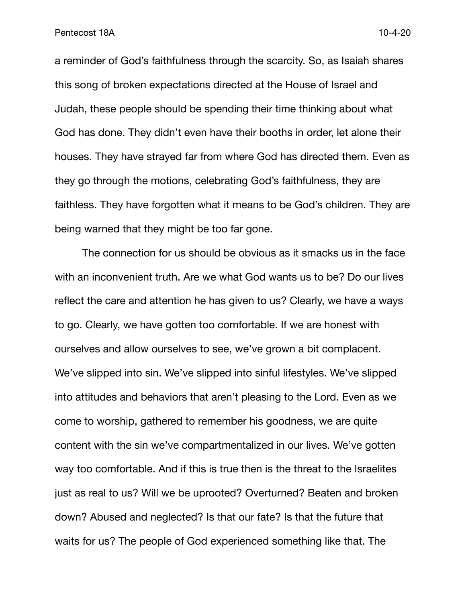a reminder of God's faithfulness through the scarcity. So, as Isaiah shares this song of broken expectations directed at the House of Israel and Judah, these people should be spending their time thinking about what God has done. They didn't even have their booths in order, let alone their houses. They have strayed far from where God has directed them. Even as they go through the motions, celebrating God's faithfulness, they are faithless. They have forgotten what it means to be God's children. They are being warned that they might be too far gone.

The connection for us should be obvious as it smacks us in the face with an inconvenient truth. Are we what God wants us to be? Do our lives reflect the care and attention he has given to us? Clearly, we have a ways to go. Clearly, we have gotten too comfortable. If we are honest with ourselves and allow ourselves to see, we've grown a bit complacent. We've slipped into sin. We've slipped into sinful lifestyles. We've slipped into attitudes and behaviors that aren't pleasing to the Lord. Even as we come to worship, gathered to remember his goodness, we are quite content with the sin we've compartmentalized in our lives. We've gotten way too comfortable. And if this is true then is the threat to the Israelites just as real to us? Will we be uprooted? Overturned? Beaten and broken down? Abused and neglected? Is that our fate? Is that the future that waits for us? The people of God experienced something like that. The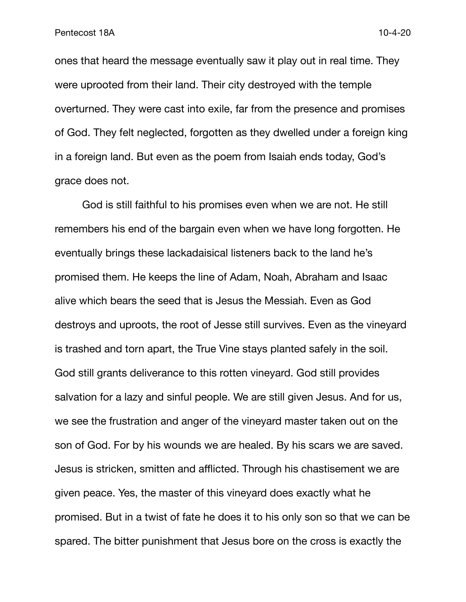ones that heard the message eventually saw it play out in real time. They were uprooted from their land. Their city destroyed with the temple overturned. They were cast into exile, far from the presence and promises of God. They felt neglected, forgotten as they dwelled under a foreign king in a foreign land. But even as the poem from Isaiah ends today, God's grace does not.

God is still faithful to his promises even when we are not. He still remembers his end of the bargain even when we have long forgotten. He eventually brings these lackadaisical listeners back to the land he's promised them. He keeps the line of Adam, Noah, Abraham and Isaac alive which bears the seed that is Jesus the Messiah. Even as God destroys and uproots, the root of Jesse still survives. Even as the vineyard is trashed and torn apart, the True Vine stays planted safely in the soil. God still grants deliverance to this rotten vineyard. God still provides salvation for a lazy and sinful people. We are still given Jesus. And for us, we see the frustration and anger of the vineyard master taken out on the son of God. For by his wounds we are healed. By his scars we are saved. Jesus is stricken, smitten and afflicted. Through his chastisement we are given peace. Yes, the master of this vineyard does exactly what he promised. But in a twist of fate he does it to his only son so that we can be spared. The bitter punishment that Jesus bore on the cross is exactly the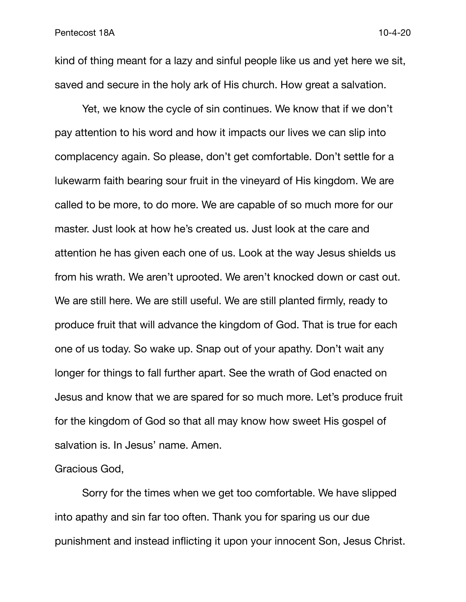kind of thing meant for a lazy and sinful people like us and yet here we sit, saved and secure in the holy ark of His church. How great a salvation.

Yet, we know the cycle of sin continues. We know that if we don't pay attention to his word and how it impacts our lives we can slip into complacency again. So please, don't get comfortable. Don't settle for a lukewarm faith bearing sour fruit in the vineyard of His kingdom. We are called to be more, to do more. We are capable of so much more for our master. Just look at how he's created us. Just look at the care and attention he has given each one of us. Look at the way Jesus shields us from his wrath. We aren't uprooted. We aren't knocked down or cast out. We are still here. We are still useful. We are still planted firmly, ready to produce fruit that will advance the kingdom of God. That is true for each one of us today. So wake up. Snap out of your apathy. Don't wait any longer for things to fall further apart. See the wrath of God enacted on Jesus and know that we are spared for so much more. Let's produce fruit for the kingdom of God so that all may know how sweet His gospel of salvation is. In Jesus' name. Amen.

Gracious God,

Sorry for the times when we get too comfortable. We have slipped into apathy and sin far too often. Thank you for sparing us our due punishment and instead inflicting it upon your innocent Son, Jesus Christ.